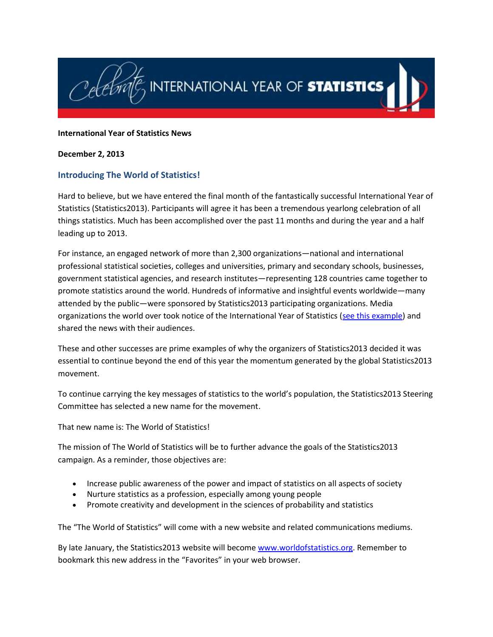

#### **International Year of Statistics News**

#### **December 2, 2013**

### **Introducing The World of Statistics!**

Hard to believe, but we have entered the final month of the fantastically successful International Year of Statistics (Statistics2013). Participants will agree it has been a tremendous yearlong celebration of all things statistics. Much has been accomplished over the past 11 months and during the year and a half leading up to 2013.

For instance, an engaged network of more than 2,300 organizations—national and international professional statistical societies, colleges and universities, primary and secondary schools, businesses, government statistical agencies, and research institutes—representing 128 countries came together to promote statistics around the world. Hundreds of informative and insightful events worldwide—many attended by the public—were sponsored by Statistics2013 participating organizations. Media organizations the world over took notice of the International Year of Statistics [\(see this example\)](http://online.wsj.com/news/articles/SB10001424052702303559504579197942777726778) and shared the news with their audiences.

These and other successes are prime examples of why the organizers of Statistics2013 decided it was essential to continue beyond the end of this year the momentum generated by the global Statistics2013 movement.

To continue carrying the key messages of statistics to the world's population, the Statistics2013 Steering Committee has selected a new name for the movement.

That new name is: The World of Statistics!

The mission of The World of Statistics will be to further advance the goals of the Statistics2013 campaign. As a reminder, those objectives are:

- Increase public awareness of the power and impact of statistics on all aspects of society
- Nurture statistics as a profession, especially among young people
- Promote creativity and development in the sciences of probability and statistics

The "The World of Statistics" will come with a new website and related communications mediums.

By late January, the Statistics2013 website will become [www.worldofstatistics.org.](http://www.worldofstatistics.org/) Remember to bookmark this new address in the "Favorites" in your web browser.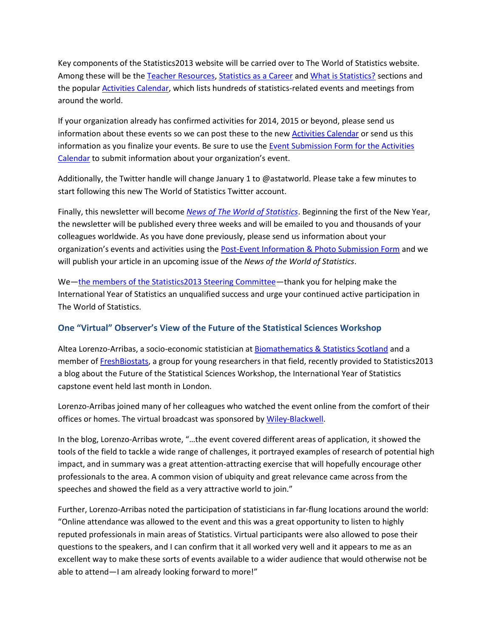Key components of the Statistics2013 website will be carried over to The World of Statistics website. Among these will be th[e Teacher Resources,](http://www.statistics2013.org/primary-secondary-school-teacher-resources/) [Statistics as a Career](http://www.statistics2013.org/statistics-as-a-career/) an[d What is Statistics?](http://www.statistics2013.org/2012/12/03/what-is-statistics/) sections and the popula[r Activities Calendar,](http://www.statistics2013.org/statistics2013-global-supporters/activities/) which lists hundreds of statistics-related events and meetings from around the world.

If your organization already has confirmed activities for 2014, 2015 or beyond, please send us information about these events so we can post these to the ne[w Activities Calendar](http://www.statistics2013.org/statistics2013-global-supporters/activities/) or send us this information as you finalize your events. Be sure to use the [Event Submission Form for the Activities](http://www.statistics2013.org/iyos/submitactivity.cfm)  [Calendar](http://www.statistics2013.org/iyos/submitactivity.cfm) to submit information about your organization's event.

Additionally, the Twitter handle will change January 1 to @astatworld. Please take a few minutes to start following this new The World of Statistics Twitter account.

Finally, this newsletter will become *[News of The World of Statistics](http://www.statistics2013.org/iyos/submitarticle.cfm)*. Beginning the first of the New Year, the newsletter will be published every three weeks and will be emailed to you and thousands of your colleagues worldwide. As you have done previously, please send us information about your organization's events and activities using the [Post-Event Information & Photo Submission Form](http://www.statistics2013.org/iyos/submitarticle.cfm) and we will publish your article in an upcoming issue of the *News of the World of Statistics*.

We—[the members of the Statistics2013 Steering Committee](http://www.statistics2013.org/statistics2013-global-supporters/steering-committee/)—thank you for helping make the International Year of Statistics an unqualified success and urge your continued active participation in The World of Statistics.

### **One "Virtual" Observer's View of the Future of the Statistical Sciences Workshop**

Altea Lorenzo-Arribas, a socio-economic statistician at [Biomathematics & Statistics Scotland](http://www.bioss.ac.uk/) and a member of [FreshBiostats,](http://freshbiostats.wordpress.com/) a group for young researchers in that field, recently provided to Statistics2013 a blog about the Future of the Statistical Sciences Workshop, the International Year of Statistics capstone event held last month in London.

Lorenzo-Arribas joined many of her colleagues who watched the event online from the comfort of their offices or homes. The virtual broadcast was sponsored by [Wiley-Blackwell.](http://www.wiley.com/WileyCDA/Section/id-351216.html)

In the blog, Lorenzo-Arribas wrote, "…the event covered different areas of application, it showed the tools of the field to tackle a wide range of challenges, it portrayed examples of research of potential high impact, and in summary was a great attention-attracting exercise that will hopefully encourage other professionals to the area. A common vision of ubiquity and great relevance came across from the speeches and showed the field as a very attractive world to join."

Further, Lorenzo-Arribas noted the participation of statisticians in far-flung locations around the world: "Online attendance was allowed to the event and this was a great opportunity to listen to highly reputed professionals in main areas of Statistics. Virtual participants were also allowed to pose their questions to the speakers, and I can confirm that it all worked very well and it appears to me as an excellent way to make these sorts of events available to a wider audience that would otherwise not be able to attend—I am already looking forward to more!"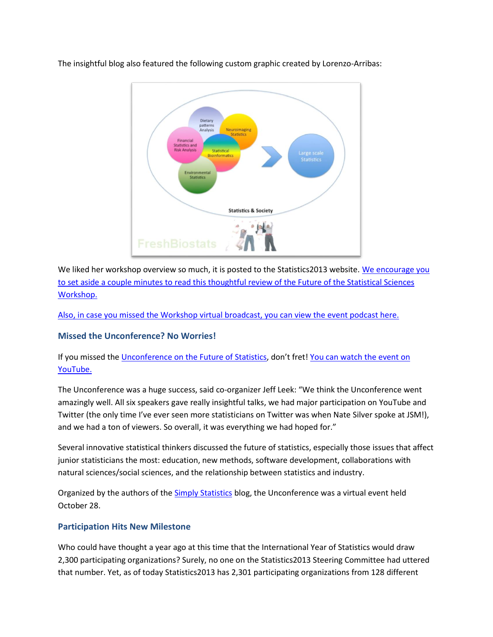



We liked her workshop overview so much, it is posted to the Statistics2013 website. We encourage you [to set aside a couple minutes to read this thoughtful review of the Future of the Statistical Sciences](http://www.statistics2013.org/2013/11/25/my-impressions-from-the-workshop-on-the-future-of-the-statistical-sciences/)  [Workshop.](http://www.statistics2013.org/2013/11/25/my-impressions-from-the-workshop-on-the-future-of-the-statistical-sciences/)

[Also, in case you missed the Workshop](http://view6.workcast.net/?pak=8653179940038824&cpak=7903578291368412) virtual broadcast, you can view the event podcast here.

# **Missed the Unconference? No Worries!**

# If you missed th[e Unconference on the Future of Statistics](http://simplystatistics.org/unconference), don't fret! You can watch the event on [YouTube.](http://www.youtube.com/watch?v=Y4UJjzuYjfM)

The Unconference was a huge success, said co-organizer Jeff Leek: "We think the Unconference went amazingly well. All six speakers gave really insightful talks, we had major participation on YouTube and Twitter (the only time I've ever seen more statisticians on Twitter was when Nate Silver spoke at JSM!), and we had a ton of viewers. So overall, it was everything we had hoped for."

Several innovative statistical thinkers discussed the future of statistics, especially those issues that affect junior statisticians the most: education, new methods, software development, collaborations with natural sciences/social sciences, and the relationship between statistics and industry.

Organized by the authors of the **Simply Statistics blog**, the Unconference was a virtual event held October 28.

### **Participation Hits New Milestone**

Who could have thought a year ago at this time that the International Year of Statistics would draw 2,300 participating organizations? Surely, no one on the Statistics2013 Steering Committee had uttered that number. Yet, as of today Statistics2013 has 2,301 participating organizations from 128 different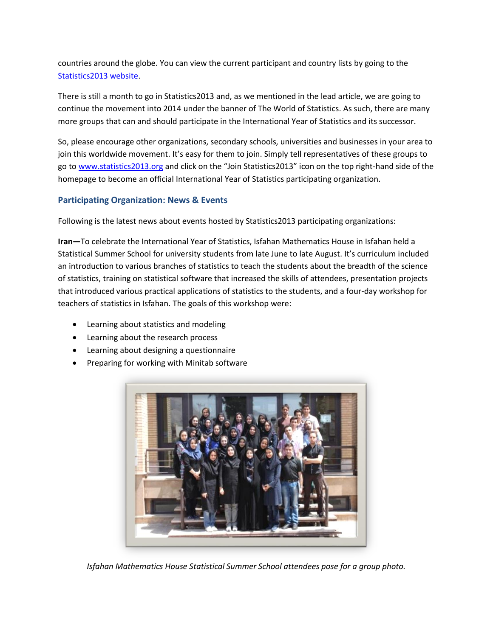countries around the globe. You can view the current participant and country lists by going to the [Statistics2013 website.](http://www.statistics2013.org/iyos/participants.cfm)

There is still a month to go in Statistics2013 and, as we mentioned in the lead article, we are going to continue the movement into 2014 under the banner of The World of Statistics. As such, there are many more groups that can and should participate in the International Year of Statistics and its successor.

So, please encourage other organizations, secondary schools, universities and businesses in your area to join this worldwide movement. It's easy for them to join. Simply tell representatives of these groups to go to [www.statistics2013.org](http://www.statistics2013.org/) and click on the "Join Statistics2013" icon on the top right-hand side of the homepage to become an official International Year of Statistics participating organization.

### **Participating Organization: News & Events**

Following is the latest news about events hosted by Statistics2013 participating organizations:

**Iran—**To celebrate the International Year of Statistics, Isfahan Mathematics House in Isfahan held a Statistical Summer School for university students from late June to late August. It's curriculum included an introduction to various branches of statistics to teach the students about the breadth of the science of statistics, training on statistical software that increased the skills of attendees, presentation projects that introduced various practical applications of statistics to the students, and a four-day workshop for teachers of statistics in Isfahan. The goals of this workshop were:

- Learning about statistics and modeling
- Learning about the research process
- Learning about designing a questionnaire
- Preparing for working with Minitab software



*Isfahan Mathematics House Statistical Summer School attendees pose for a group photo.*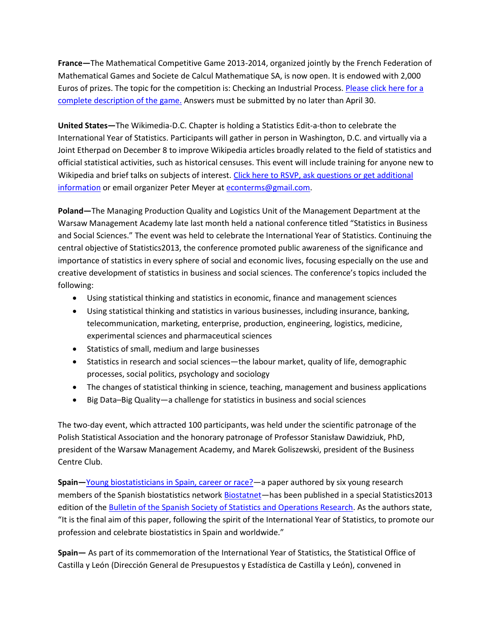**France—**The Mathematical Competitive Game 2013-2014, organized jointly by the French Federation of Mathematical Games and Societe de Calcul Mathematique SA, is now open. It is endowed with 2,000 Euros of prizes. The topic for the competition is: Checking an Industrial Process. [Please click here for a](http://scmsa.eu/archives/SCM_FFJM_Competitive_Game_2013_2014.pdf)  [complete description of the game.](http://scmsa.eu/archives/SCM_FFJM_Competitive_Game_2013_2014.pdf) Answers must be submitted by no later than April 30.

**United States—**The Wikimedia-D.C. Chapter is holding a Statistics Edit-a-thon to celebrate the International Year of Statistics. Participants will gather in person in Washington, D.C. and virtually via a Joint Etherpad on December 8 to improve Wikipedia articles broadly related to the field of statistics and official statistical activities, such as historical censuses. This event will include training for anyone new to Wikipedia and brief talks on subjects of interest. Click here to RSVP, ask questions or get additional [information](https://en.wikipedia.org/wiki/Wikipedia:Meetup/DC/Statistics_Edit-a-thon) or email organizer Peter Meyer at [econterms@gmail.com.](mailto:econterms@gmail.com)

**Poland—**The Managing Production Quality and Logistics Unit of the Management Department at the Warsaw Management Academy late last month held a national conference titled "Statistics in Business and Social Sciences." The event was held to celebrate the International Year of Statistics. Continuing the central objective of Statistics2013, the conference promoted public awareness of the significance and importance of statistics in every sphere of social and economic lives, focusing especially on the use and creative development of statistics in business and social sciences. The conference's topics included the following:

- Using statistical thinking and statistics in economic, finance and management sciences
- Using statistical thinking and statistics in various businesses, including insurance, banking, telecommunication, marketing, enterprise, production, engineering, logistics, medicine, experimental sciences and pharmaceutical sciences
- Statistics of small, medium and large businesses
- Statistics in research and social sciences—the labour market, quality of life, demographic processes, social politics, psychology and sociology
- The changes of statistical thinking in science, teaching, management and business applications
- Big Data–Big Quality—a challenge for statistics in business and social sciences

The two-day event, which attracted 100 participants, was held under the scientific patronage of the Polish Statistical Association and the honorary patronage of Professor Stanisław Dawidziuk, PhD, president of the Warsaw Management Academy, and Marek Goliszewski, president of the Business Centre Club.

**Spain—**[Young biostatisticians in Spain, career or race?](http://www.seio.es/BEIO/files/BEIOVol29Num3Oct2013-OP2.pdf)—a paper authored by six young research members of the Spanish biostatistics network **Biostatnet**—has been published in a special Statistics2013 edition of the [Bulletin of the Spanish Society of Statistics and Operations Research.](http://www.seio.es/BEIO/5.html) As the authors state, "It is the final aim of this paper, following the spirit of the International Year of Statistics, to promote our profession and celebrate biostatistics in Spain and worldwide."

**Spain—** As part of its commemoration of the International Year of Statistics, the Statistical Office of Castilla y León (Dirección General de Presupuestos y Estadística de Castilla y León), convened in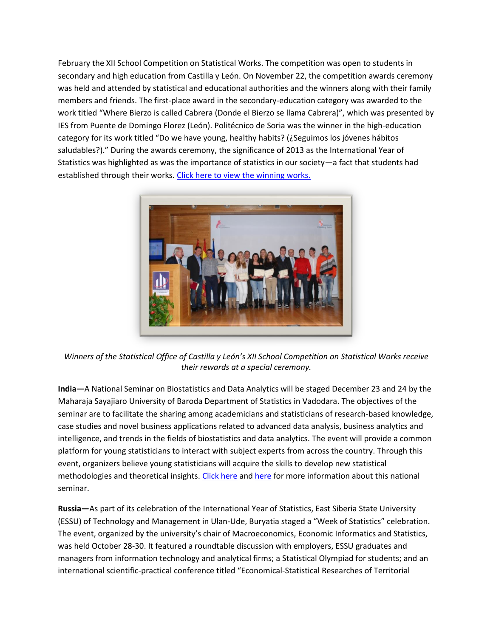February the XII School Competition on Statistical Works. The competition was open to students in secondary and high education from Castilla y León. On November 22, the competition awards ceremony was held and attended by statistical and educational authorities and the winners along with their family members and friends. The first-place award in the secondary-education category was awarded to the work titled "Where Bierzo is called Cabrera (Donde el Bierzo se llama Cabrera)", which was presented by IES from Puente de Domingo Florez (León). Politécnico de Soria was the winner in the high-education category for its work titled "Do we have young, healthy habits? (¿Seguimos los jóvenes hábitos saludables?)." During the awards ceremony, the significance of 2013 as the International Year of Statistics was highlighted as was the importance of statistics in our society—a fact that students had established through their works[. Click here to view the winning works.](http://www.jcyl.es/web/jcyl/Estadistica/es/Plantilla100/1284161871751/_/_/_)



*Winners of the Statistical Office of Castilla y León's XII School Competition on Statistical Works receive their rewards at a special ceremony.*

**India—**A National Seminar on Biostatistics and Data Analytics will be staged December 23 and 24 by the Maharaja Sayajiaro University of Baroda Department of Statistics in Vadodara. The objectives of the seminar are to facilitate the sharing among academicians and statisticians of research-based knowledge, case studies and novel business applications related to advanced data analysis, business analytics and intelligence, and trends in the fields of biostatistics and data analytics. The event will provide a common platform for young statisticians to interact with subject experts from across the country. Through this event, organizers believe young statisticians will acquire the skills to develop new statistical methodologies and theoretical insights. [Click here](http://www.statistics2013.org/files/2013/11/MS-Univ1.jpg) an[d here](http://www.statistics2013.org/files/2013/11/MS-Univ2.jpg) for more information about this national seminar.

**Russia—**As part of its celebration of the International Year of Statistics, East Siberia State University (ESSU) of Technology and Management in Ulan-Ude, Buryatia staged a "Week of Statistics" celebration. The event, organized by the university's chair of Macroeconomics, Economic Informatics and Statistics, was held October 28-30. It featured a roundtable discussion with employers, ESSU graduates and managers from information technology and analytical firms; a Statistical Olympiad for students; and an international scientific-practical conference titled "Economical-Statistical Researches of Territorial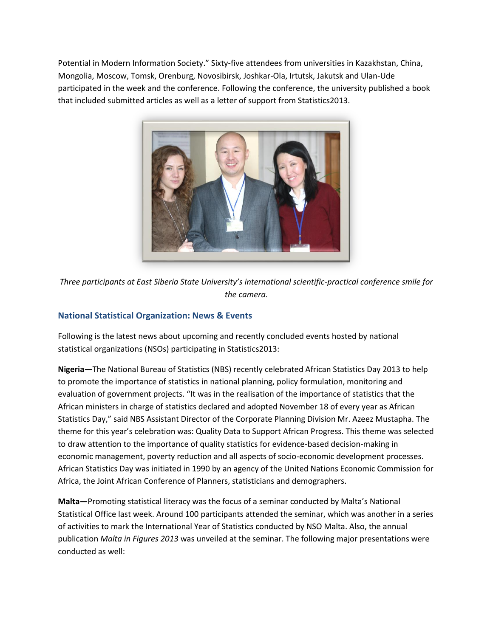Potential in Modern Information Society." Sixty-five attendees from universities in Kazakhstan, China, Mongolia, Moscow, Tomsk, Orenburg, Novosibirsk, Joshkar-Ola, Irtutsk, Jakutsk and Ulan-Ude participated in the week and the conference. Following the conference, the university published a book that included submitted articles as well as a letter of support from Statistics2013.



*Three participants at East Siberia State University's international scientific-practical conference smile for the camera.*

# **National Statistical Organization: News & Events**

Following is the latest news about upcoming and recently concluded events hosted by national statistical organizations (NSOs) participating in Statistics2013:

**Nigeria—**The National Bureau of Statistics (NBS) recently celebrated African Statistics Day 2013 to help to promote the importance of statistics in national planning, policy formulation, monitoring and evaluation of government projects. "It was in the realisation of the importance of statistics that the African ministers in charge of statistics declared and adopted November 18 of every year as African Statistics Day," said NBS Assistant Director of the Corporate Planning Division Mr. Azeez Mustapha. The theme for this year's celebration was: Quality Data to Support African Progress. This theme was selected to draw attention to the importance of quality statistics for evidence-based decision-making in economic management, poverty reduction and all aspects of socio-economic development processes. African Statistics Day was initiated in 1990 by an agency of the United Nations Economic Commission for Africa, the Joint African Conference of Planners, statisticians and demographers.

**Malta—**Promoting statistical literacy was the focus of a seminar conducted by Malta's National Statistical Office last week. Around 100 participants attended the seminar, which was another in a series of activities to mark the International Year of Statistics conducted by NSO Malta. Also, the annual publication *Malta in Figures 2013* was unveiled at the seminar. The following major presentations were conducted as well: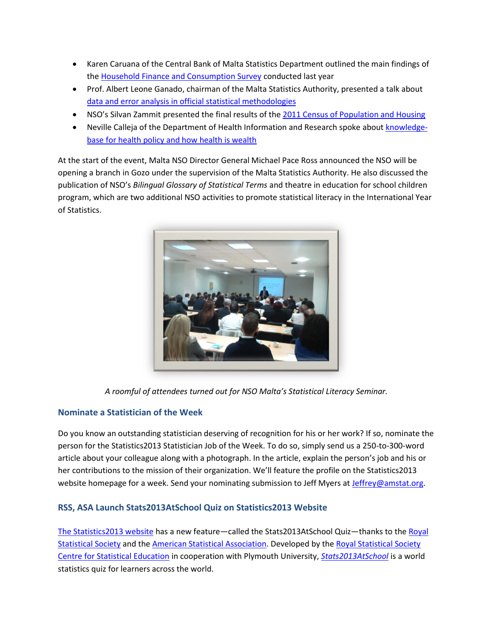- Karen Caruana of the Central Bank of Malta Statistics Department outlined the main findings of the [Household Finance and Consumption Survey](http://www.nso.gov.mt/docs/A_KarenCaruana.pdf) conducted last year
- Prof. Albert Leone Ganado, chairman of the Malta Statistics Authority, presented a talk about [data and error analysis in official statistical methodologies](http://www.nso.gov.mt/docs/B_AlbertLeoneGanado.pdf)
- NSO's Silvan Zammit presented the final results of the [2011 Census of Population and Housing](http://www.nso.gov.mt/docs/C_SilvanZammit.pdf)
- Neville Calleja of the Department of Health Information and Research spoke about [knowledge](http://www.nso.gov.mt/docs/D_NevilleCalleja.pdf)[base for health policy and how health is wealth](http://www.nso.gov.mt/docs/D_NevilleCalleja.pdf)

At the start of the event, Malta NSO Director General Michael Pace Ross announced the NSO will be opening a branch in Gozo under the supervision of the Malta Statistics Authority. He also discussed the publication of NSO's *Bilingual Glossary of Statistical Terms* and theatre in education for school children program, which are two additional NSO activities to promote statistical literacy in the International Year of Statistics.



*A roomful of attendees turned out for NSO Malta's Statistical Literacy Seminar.*

# **Nominate a Statistician of the Week**

Do you know an outstanding statistician deserving of recognition for his or her work? If so, nominate the person for the Statistics2013 Statistician Job of the Week. To do so, simply send us a 250-to-300-word article about your colleague along with a photograph. In the article, explain the person's job and his or her contributions to the mission of their organization. We'll feature the profile on the Statistics2013 website homepage for a week. Send your nominating submission to Jeff Myers at [Jeffrey@amstat.org.](mailto:Jeffrey@amstat.org)

# **RSS, ASA Launch Stats2013AtSchool Quiz on Statistics2013 Website**

[The Statistics2013 website](http://www.statistics2013.org/) has a new feature—called the Stats2013AtSchool Quiz—thanks to th[e Royal](http://www.rss.org.uk/site/cms/contentChapterView.asp?chapter=1http://www.rss.org.uk/site/cms/contentChapterView.asp?chapter=1)  [Statistical Society](http://www.rss.org.uk/site/cms/contentChapterView.asp?chapter=1http://www.rss.org.uk/site/cms/contentChapterView.asp?chapter=1) and the [American Statistical Association.](http://www.amstat.org/) Developed by the Royal Statistical Society [Centre for Statistical Education](http://www.rsscse.org.uk/) in cooperation with Plymouth University, *[Stats2013AtSchool](http://www.stats2013atschool.org.uk/)* is a world statistics quiz for learners across the world.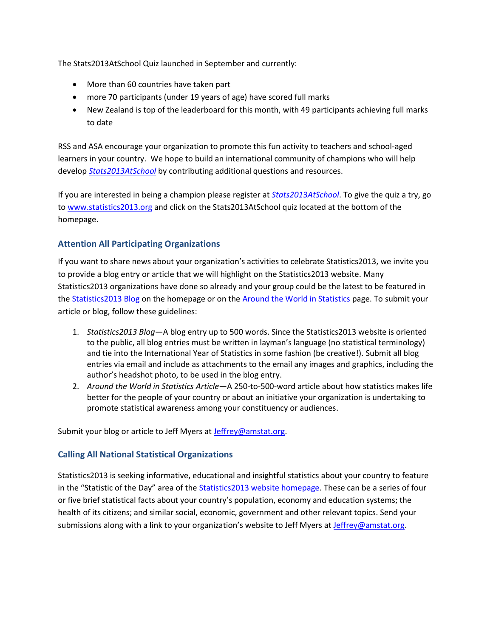The Stats2013AtSchool Quiz launched in September and currently:

- More than 60 countries have taken part
- more 70 participants (under 19 years of age) have scored full marks
- New Zealand is top of the leaderboard for this month, with 49 participants achieving full marks to date

RSS and ASA encourage your organization to promote this fun activity to teachers and school-aged learners in your country. We hope to build an international community of champions who will help develop *[Stats2013AtSchool](http://www.stats2013atschool.org.uk/)* by contributing additional questions and resources.

If you are interested in being a champion please register at *[Stats2013AtSchool](http://www.stats2013atschool.org.uk/)*. To give the quiz a try, go to [www.statistics2013.org](http://www.statistics2013.org/) and click on the Stats2013AtSchool quiz located at the bottom of the homepage.

# **Attention All Participating Organizations**

If you want to share news about your organization's activities to celebrate Statistics2013, we invite you to provide a blog entry or article that we will highlight on the Statistics2013 website. Many Statistics2013 organizations have done so already and your group could be the latest to be featured in th[e Statistics2013 Blog](http://www.statistics2013.org/) on the homepage or on the [Around the World in Statistics](http://www.statistics2013.org/category/around-the-world-in-statistics/) page. To submit your article or blog, follow these guidelines:

- 1. *Statistics2013 Blog*—A blog entry up to 500 words. Since the Statistics2013 website is oriented to the public, all blog entries must be written in layman's language (no statistical terminology) and tie into the International Year of Statistics in some fashion (be creative!). Submit all blog entries via email and include as attachments to the email any images and graphics, including the author's headshot photo, to be used in the blog entry.
- 2. *Around the World in Statistics Article*—A 250-to-500-word article about how statistics makes life better for the people of your country or about an initiative your organization is undertaking to promote statistical awareness among your constituency or audiences.

Submit your blog or article to Jeff Myers at [Jeffrey@amstat.org.](mailto:Jeffrey@amstat.org)

### **Calling All National Statistical Organizations**

Statistics2013 is seeking informative, educational and insightful statistics about your country to feature in the "Statistic of the Day" area of the [Statistics2013 website homepage.](http://www.statistics2013.org/) These can be a series of four or five brief statistical facts about your country's population, economy and education systems; the health of its citizens; and similar social, economic, government and other relevant topics. Send your submissions along with a link to your organization's website to Jeff Myers at [Jeffrey@amstat.org.](mailto:Jeffrey@amstat.org)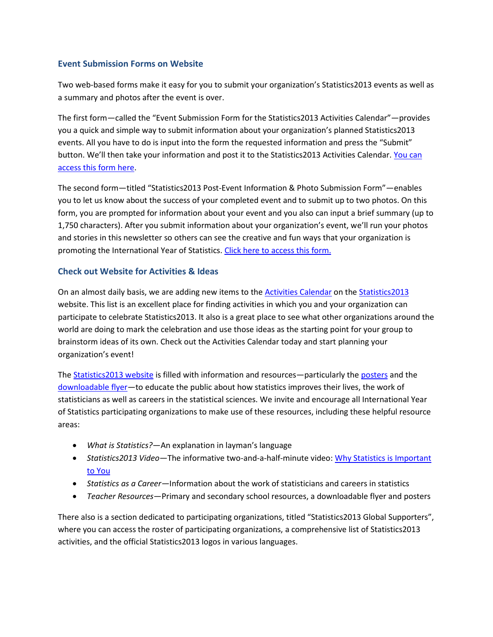#### **Event Submission Forms on Website**

Two web-based forms make it easy for you to submit your organization's Statistics2013 events as well as a summary and photos after the event is over.

The first form—called the "Event Submission Form for the Statistics2013 Activities Calendar"—provides you a quick and simple way to submit information about your organization's planned Statistics2013 events. All you have to do is input into the form the requested information and press the "Submit" button. We'll then take your information and post it to the Statistics2013 Activities Calendar. You can [access this form here.](http://www.statistics2013.org/iyos/submitactivity.cfm)

The second form—titled "Statistics2013 Post-Event Information & Photo Submission Form"—enables you to let us know about the success of your completed event and to submit up to two photos. On this form, you are prompted for information about your event and you also can input a brief summary (up to 1,750 characters). After you submit information about your organization's event, we'll run your photos and stories in this newsletter so others can see the creative and fun ways that your organization is promoting the International Year of Statistics. Click here to [access this form.](http://www.statistics2013.org/iyos/submitarticle.cfm)

### **Check out Website for Activities & Ideas**

On an almost daily basis, we are adding new items to the [Activities Calendar](http://www.statistics2013.org/statistics2013-global-supporters/activities/) on the [Statistics2013](http://www.statistics2013.org/) website. This list is an excellent place for finding activities in which you and your organization can participate to celebrate Statistics2013. It also is a great place to see what other organizations around the world are doing to mark the celebration and use those ideas as the starting point for your group to brainstorm ideas of its own. Check out the Activities Calendar today and start planning your organization's event!

The **Statistics2013** website is filled with information and resources—particularly th[e posters](http://www.statistics2013.org/statistics2013-posters/) and the [downloadable flyer](http://www.statistics2013.org/files/2012/11/STAT2013-Flyer.pdf)—to educate the public about how statistics improves their lives, the work of statisticians as well as careers in the statistical sciences. We invite and encourage all International Year of Statistics participating organizations to make use of these resources, including these helpful resource areas:

- *What is Statistics?*—An explanation in layman's language
- *Statistics2013 Video*—The informative two-and-a-half-minute video: [Why Statistics is Important](http://www.statistics2013.org/)  [to You](http://www.statistics2013.org/)
- *Statistics as a Career—*Information about the work of statisticians and careers in statistics
- *Teacher Resources*—Primary and secondary school resources, a downloadable flyer and posters

There also is a section dedicated to participating organizations, titled "Statistics2013 Global Supporters", where you can access the roster of participating organizations, a comprehensive list of Statistics2013 activities, and the official Statistics2013 logos in various languages.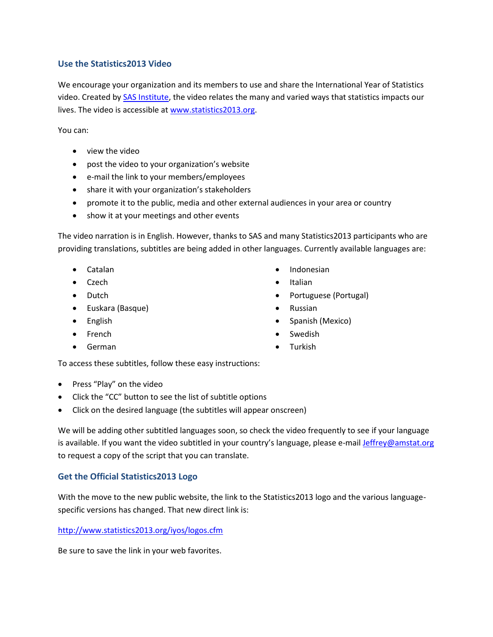#### **Use the Statistics2013 Video**

We encourage your organization and its members to use and share the International Year of Statistics video. Created by [SAS Institute,](http://www.sas.com/) the video relates the many and varied ways that statistics impacts our lives. The video is accessible at [www.statistics2013.org.](http://www.statistics2013.org/)

You can:

- view the video
- post the video to your organization's website
- e-mail the link to your members/employees
- share it with your organization's stakeholders
- promote it to the public, media and other external audiences in your area or country
- show it at your meetings and other events

The video narration is in English. However, thanks to SAS and many Statistics2013 participants who are providing translations, subtitles are being added in other languages. Currently available languages are:

- Catalan
- Czech
- Dutch
- Euskara (Basque)
- English
- French
- German
- Indonesian
- Italian
- Portuguese (Portugal)
- Russian
- Spanish (Mexico)
- Swedish
- Turkish

To access these subtitles, follow these easy instructions:

- Press "Play" on the video
- Click the "CC" button to see the list of subtitle options
- Click on the desired language (the subtitles will appear onscreen)

We will be adding other subtitled languages soon, so check the video frequently to see if your language is available. If you want the video subtitled in your country's language, please e-mai[l Jeffrey@amstat.org](mailto:Jeffrey@amstat.org) to request a copy of the script that you can translate.

### **Get the Official Statistics2013 Logo**

With the move to the new public website, the link to the Statistics2013 logo and the various languagespecific versions has changed. That new direct link is:

<http://www.statistics2013.org/iyos/logos.cfm>

Be sure to save the link in your web favorites.